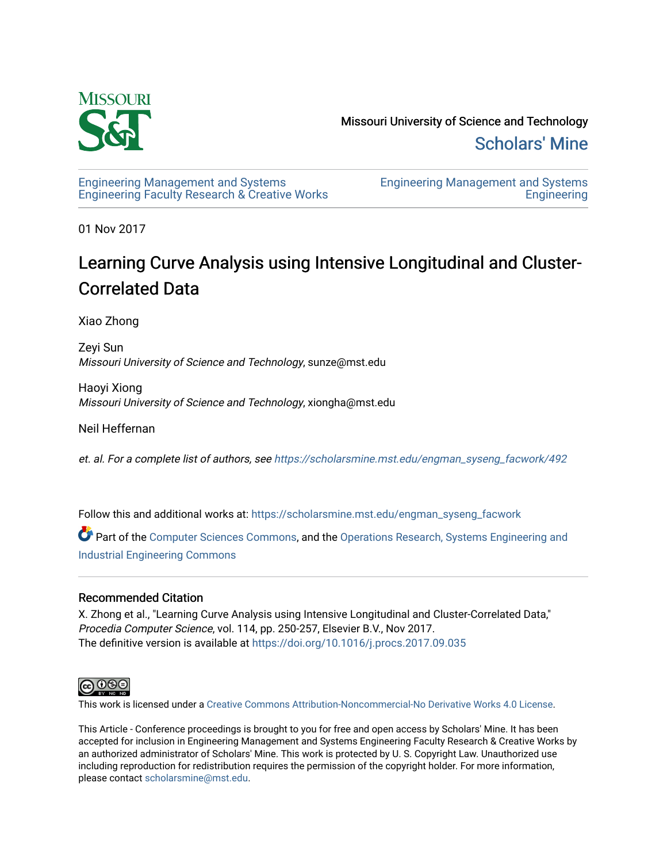

[Engineering Management and Systems](https://scholarsmine.mst.edu/engman_syseng_facwork)  [Engineering Faculty Research & Creative Works](https://scholarsmine.mst.edu/engman_syseng_facwork) [Engineering Management and Systems](https://scholarsmine.mst.edu/engman_syseng)  [Engineering](https://scholarsmine.mst.edu/engman_syseng) 

01 Nov 2017

# Learning Curve Analysis using Intensive Longitudinal and Cluster-Correlated Data

Xiao Zhong

Zeyi Sun Missouri University of Science and Technology, sunze@mst.edu

Haoyi Xiong Missouri University of Science and Technology, xiongha@mst.edu

Neil Heffernan

et. al. For a complete list of authors, see [https://scholarsmine.mst.edu/engman\\_syseng\\_facwork/492](https://scholarsmine.mst.edu/engman_syseng_facwork/492) 

Follow this and additional works at: [https://scholarsmine.mst.edu/engman\\_syseng\\_facwork](https://scholarsmine.mst.edu/engman_syseng_facwork?utm_source=scholarsmine.mst.edu%2Fengman_syseng_facwork%2F492&utm_medium=PDF&utm_campaign=PDFCoverPages) 

Part of the [Computer Sciences Commons](http://network.bepress.com/hgg/discipline/142?utm_source=scholarsmine.mst.edu%2Fengman_syseng_facwork%2F492&utm_medium=PDF&utm_campaign=PDFCoverPages), and the [Operations Research, Systems Engineering and](http://network.bepress.com/hgg/discipline/305?utm_source=scholarsmine.mst.edu%2Fengman_syseng_facwork%2F492&utm_medium=PDF&utm_campaign=PDFCoverPages) [Industrial Engineering Commons](http://network.bepress.com/hgg/discipline/305?utm_source=scholarsmine.mst.edu%2Fengman_syseng_facwork%2F492&utm_medium=PDF&utm_campaign=PDFCoverPages) 

## Recommended Citation

X. Zhong et al., "Learning Curve Analysis using Intensive Longitudinal and Cluster-Correlated Data," Procedia Computer Science, vol. 114, pp. 250-257, Elsevier B.V., Nov 2017. The definitive version is available at <https://doi.org/10.1016/j.procs.2017.09.035>



This work is licensed under a [Creative Commons Attribution-Noncommercial-No Derivative Works 4.0 License.](https://creativecommons.org/licenses/by-nc-nd/4.0/)

This Article - Conference proceedings is brought to you for free and open access by Scholars' Mine. It has been accepted for inclusion in Engineering Management and Systems Engineering Faculty Research & Creative Works by an authorized administrator of Scholars' Mine. This work is protected by U. S. Copyright Law. Unauthorized use including reproduction for redistribution requires the permission of the copyright holder. For more information, please contact [scholarsmine@mst.edu.](mailto:scholarsmine@mst.edu)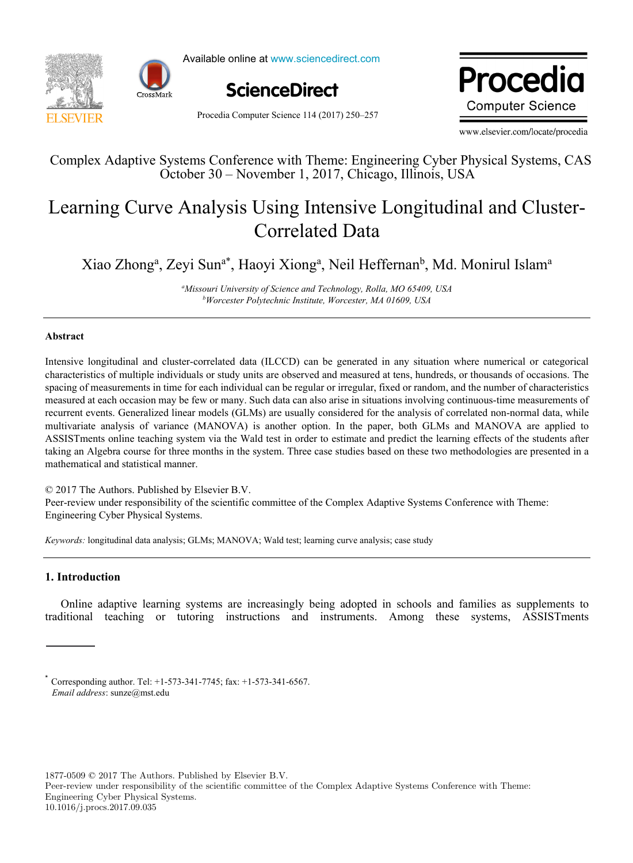



Available online at www.sciencedirect.com



Procedia Computer Science 114 (2017) 250–257

Procedia **Computer Science** 

www.elsevier.com/locate/procedia

### Complex Adaptive Systems Conference with Theme: Engineering Cyber Physical Systems, CAS October 30 – November 1, 2017, Chicago, Illinois, USA

## Learning Curve Analysis Using Intensive Longitudinal and Cluster-Correlated Data

Xiao Zhong<sup>a</sup>, Zeyi Sun<sup>a\*</sup>, Haoyi Xiong<sup>a</sup>, Neil Heffernan<sup>b</sup>, Md. Monirul Islam<sup>a</sup>

*a Missouri University of Science and Technology, Rolla, MO 65409, USA*<br>b *b b Morcester Pobytechnic Institute Worcester MA 01609 USA Worcester Polytechnic Institute, Worcester, MA 01609, USA* 

#### **Abstract**

Intensive longitudinal and cluster-correlated data (ILCCD) can be generated in any situation where numerical or categorical characteristics of multiple individuals or study units are observed and measured at tens, hundreds, or thousands of occasions. The spacing of measurements in time for each individual can be regular or irregular, fixed or random, and the number of characteristics measured at each occasion may be few or many. Such data can also arise in situations involving continuous-time measurements of recurrent events. Generalized linear models (GLMs) are usually considered for the analysis of correlated non-normal data, while multivariate analysis of variance (MANOVA) is another option. In the paper, both GLMs and MANOVA are applied to ASSISTments online teaching system via the Wald test in order to estimate and predict the learning effects of the students after taking an Algebra course for three months in the system. Three case studies based on these two methodologies are presented in a mathematical and statistical manner.

© 2017 The Authors. Published by Elsevier B.V.

Peer-review under responsibility of the scientific committee of the Complex Adaptive Systems Conference with Theme: Engineering Cyber Physical Systems.

*Keywords:* longitudinal data analysis; GLMs; MANOVA; Wald test; learning curve analysis; case study

#### **1. Introduction**

Online adaptive learning systems are increasingly being adopted in schools and families as supplements to traditional teaching or tutoring instructions and instruments. Among these systems, ASSISTments

1877-0509 © 2017 The Authors. Published by Elsevier B.V.

Corresponding author. Tel: +1-573-341-7745; fax: +1-573-341-6567. *Email address*: sunze@mst.edu

Peer-review under responsibility of the scientific committee of the Complex Adaptive Systems Conference with Theme: Engineering Cyber Physical Systems. 10.1016/j.procs.2017.09.035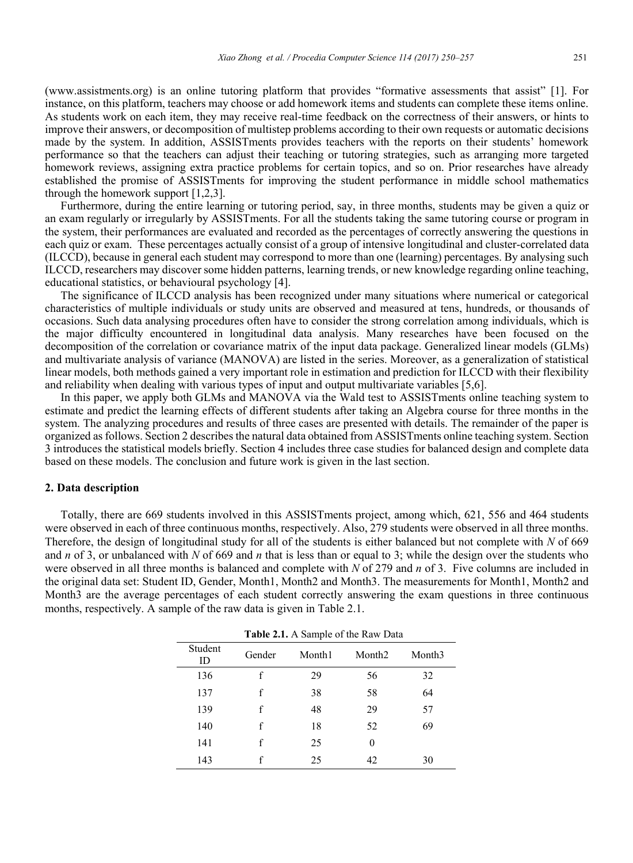(www.assistments.org) is an online tutoring platform that provides "formative assessments that assist" [1]. For instance, on this platform, teachers may choose or add homework items and students can complete these items online. As students work on each item, they may receive real-time feedback on the correctness of their answers, or hints to improve their answers, or decomposition of multistep problems according to their own requests or automatic decisions made by the system. In addition, ASSISTments provides teachers with the reports on their students' homework performance so that the teachers can adjust their teaching or tutoring strategies, such as arranging more targeted homework reviews, assigning extra practice problems for certain topics, and so on. Prior researches have already established the promise of ASSISTments for improving the student performance in middle school mathematics through the homework support [1,2,3].

Furthermore, during the entire learning or tutoring period, say, in three months, students may be given a quiz or an exam regularly or irregularly by ASSISTments. For all the students taking the same tutoring course or program in the system, their performances are evaluated and recorded as the percentages of correctly answering the questions in each quiz or exam. These percentages actually consist of a group of intensive longitudinal and cluster-correlated data (ILCCD), because in general each student may correspond to more than one (learning) percentages. By analysing such ILCCD, researchers may discover some hidden patterns, learning trends, or new knowledge regarding online teaching, educational statistics, or behavioural psychology [4].

The significance of ILCCD analysis has been recognized under many situations where numerical or categorical characteristics of multiple individuals or study units are observed and measured at tens, hundreds, or thousands of occasions. Such data analysing procedures often have to consider the strong correlation among individuals, which is the major difficulty encountered in longitudinal data analysis. Many researches have been focused on the decomposition of the correlation or covariance matrix of the input data package. Generalized linear models (GLMs) and multivariate analysis of variance (MANOVA) are listed in the series. Moreover, as a generalization of statistical linear models, both methods gained a very important role in estimation and prediction for ILCCD with their flexibility and reliability when dealing with various types of input and output multivariate variables [5,6].

In this paper, we apply both GLMs and MANOVA via the Wald test to ASSISTments online teaching system to estimate and predict the learning effects of different students after taking an Algebra course for three months in the system. The analyzing procedures and results of three cases are presented with details. The remainder of the paper is organized as follows. Section 2 describes the natural data obtained from ASSISTments online teaching system. Section 3 introduces the statistical models briefly. Section 4 includes three case studies for balanced design and complete data based on these models. The conclusion and future work is given in the last section.

#### **2. Data description**

Totally, there are 669 students involved in this ASSISTments project, among which, 621, 556 and 464 students were observed in each of three continuous months, respectively. Also, 279 students were observed in all three months. Therefore, the design of longitudinal study for all of the students is either balanced but not complete with *N* of 669 and *n* of 3, or unbalanced with *N* of 669 and *n* that is less than or equal to 3; while the design over the students who were observed in all three months is balanced and complete with *N* of 279 and *n* of 3. Five columns are included in the original data set: Student ID, Gender, Month1, Month2 and Month3. The measurements for Month1, Month2 and Month3 are the average percentages of each student correctly answering the exam questions in three continuous months, respectively. A sample of the raw data is given in Table 2.1.

| <b>Table 2.1.</b> A Sample of the Raw Data |        |        |                    |        |
|--------------------------------------------|--------|--------|--------------------|--------|
| Student<br>ID                              | Gender | Month1 | Month <sub>2</sub> | Month3 |
| 136                                        | f      | 29     | 56                 | 32     |
| 137                                        | f      | 38     | 58                 | 64     |
| 139                                        | f      | 48     | 29                 | 57     |
| 140                                        | f      | 18     | 52                 | 69     |
| 141                                        | f      | 25     | 0                  |        |
| 143                                        |        | 25     | 42                 | 30     |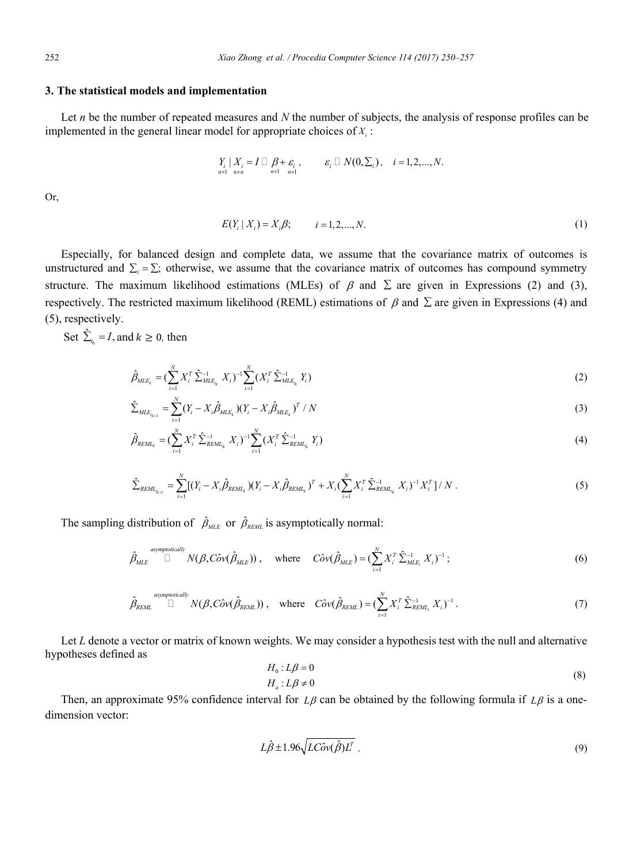#### **3. The statistical models and implementation**

Let *n* be the number of repeated measures and *N* the number of subjects, the analysis of response profiles can be implemented in the general linear model for appropriate choices of  $X_i$ :

$$
\underset{n\times 1}{Y_i} | X_i = I \square \underset{n\times 1}{\beta + \varepsilon_i}, \qquad \varepsilon_i \square N(0, \Sigma_i), \quad i = 1, 2, ..., N.
$$

Or,

$$
E(Y_i | X_i) = X_i \beta; \qquad i = 1, 2, ..., N. \tag{1}
$$

Especially, for balanced design and complete data, we assume that the covariance matrix of outcomes is unstructured and  $\Sigma_i = \Sigma$ ; otherwise, we assume that the covariance matrix of outcomes has compound symmetry structure. The maximum likelihood estimations (MLEs) of  $\beta$  and  $\Sigma$  are given in Expressions (2) and (3), respectively. The restricted maximum likelihood (REML) estimations of  $\beta$  and  $\Sigma$  are given in Expressions (4) and (5), respectively.

Set  $\hat{\Sigma}_{i_0} = I$ , and  $k \ge 0$ , then

$$
\hat{\beta}_{MLE_k} = (\sum_{i=1}^{N} X_i^T \hat{\Sigma}_{MLE_{i_k}}^{-1} X_i)^{-1} \sum_{i=1}^{N} (X_i^T \hat{\Sigma}_{MLE_{i_k}}^{-1} Y_i)
$$
(2)

$$
\hat{\Sigma}_{MLE_{k+1}} = \sum_{i=1}^{N} (Y_i - X_i \hat{\beta}_{MLE_k}) (Y_i - X_i \hat{\beta}_{MLE_k})^T / N
$$
\n(3)

$$
\hat{\beta}_{REML_k} = (\sum_{i=1}^{N} X_i^T \hat{\Sigma}_{REML_{i_k}}^{-1} X_i)^{-1} \sum_{i=1}^{N} (X_i^T \hat{\Sigma}_{REML_{i_k}}^{-1} Y_i)
$$
(4)

$$
\hat{\Sigma}_{REML_{i_{k+1}}} = \sum_{i=1}^{N} \left[ (Y_i - X_i \hat{\beta}_{REML_k}) (Y_i - X_i \hat{\beta}_{REML_k})^T + X_i (\sum_{i=1}^{N} X_i^T \hat{\Sigma}_{REML_{i_k}}^{-1} X_i)^{-1} X_i^T \right] / N \tag{5}
$$

The sampling distribution of  $\hat{\beta}_{MLE}$  or  $\hat{\beta}_{REML}$  is asymptotically normal:

$$
\hat{\beta}_{MLE}^{asymptotically} \text{ }\overset{\text{asymptotically}}{\Box} N(\beta, C\hat{\partial} \nu(\hat{\beta}_{MLE})) \text{ , } where \text{ } C\hat{\partial} \nu(\hat{\beta}_{MLE}) = (\sum_{i=1}^{N} X_i^T \hat{\Sigma}_{MLE_i}^{-1} X_i)^{-1} \text{ ; }
$$
 (6)

$$
\hat{\beta}_{REML} \stackrel{\text{asymptotically}}{\Box} N(\beta, C\hat{\sigma}v(\hat{\beta}_{REML})) \text{ , where } C\hat{\sigma}v(\hat{\beta}_{REML}) = (\sum_{i=1}^{N} X_i^T \hat{\Sigma}_{REML_i}^{-1} X_i)^{-1} \text{ .}
$$
 (7)

Let *L* denote a vector or matrix of known weights. We may consider a hypothesis test with the null and alternative hypotheses defined as

$$
H_0: L\beta = 0
$$
  
\n
$$
H_a: L\beta \neq 0
$$
\n(8)

Then, an approximate 95% confidence interval for  $L\beta$  can be obtained by the following formula if  $L\beta$  is a onedimension vector:

$$
L\hat{\beta} \pm 1.96\sqrt{LC\hat{\omega}v(\hat{\beta})L^T} \tag{9}
$$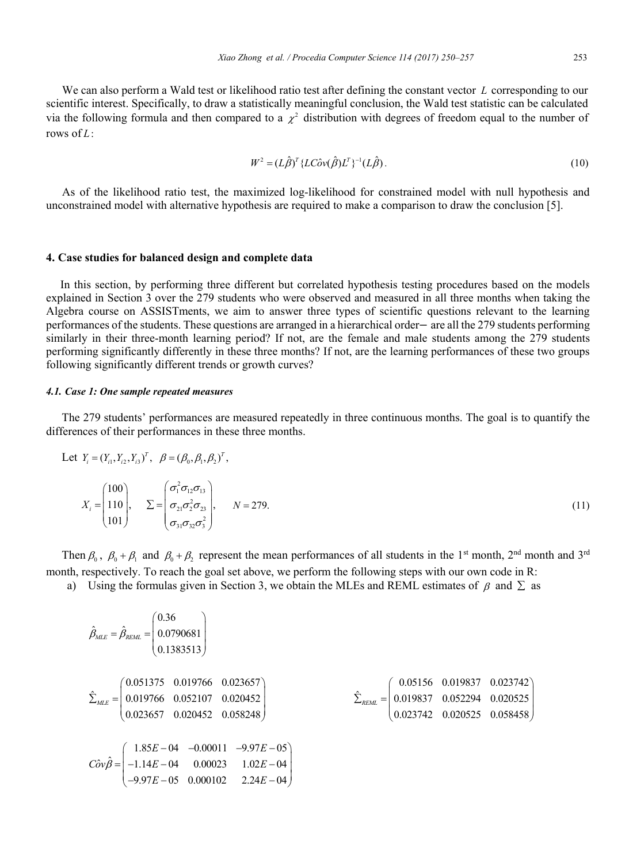We can also perform a Wald test or likelihood ratio test after defining the constant vector *L* corresponding to our scientific interest. Specifically, to draw a statistically meaningful conclusion, the Wald test statistic can be calculated via the following formula and then compared to a  $\chi^2$  distribution with degrees of freedom equal to the number of rows of *L*:

$$
W^2 = (L\hat{\beta})^T \{ LC\hat{\alpha}v(\hat{\beta})L^T \}^{-1} (L\hat{\beta}).
$$
\n(10)

As of the likelihood ratio test, the maximized log-likelihood for constrained model with null hypothesis and unconstrained model with alternative hypothesis are required to make a comparison to draw the conclusion [5].

#### **4. Case studies for balanced design and complete data**

In this section, by performing three different but correlated hypothesis testing procedures based on the models explained in Section 3 over the 279 students who were observed and measured in all three months when taking the Algebra course on ASSISTments, we aim to answer three types of scientific questions relevant to the learning performances of the students. These questions are arranged in a hierarchical order— are all the 279 students performing similarly in their three-month learning period? If not, are the female and male students among the 279 students performing significantly differently in these three months? If not, are the learning performances of these two groups following significantly different trends or growth curves?

#### *4.1. Case 1: One sample repeated measures*

The 279 students' performances are measured repeatedly in three continuous months. The goal is to quantify the differences of their performances in these three months.

Let 
$$
Y_i = (Y_{i1}, Y_{i2}, Y_{i3})^T
$$
,  $\beta = (\beta_0, \beta_1, \beta_2)^T$ ,  
\n
$$
X_i = \begin{pmatrix} 100 \\ 110 \\ 101 \end{pmatrix}, \quad \Sigma = \begin{pmatrix} \sigma_1^2 \sigma_{12} \sigma_{13} \\ \sigma_{21} \sigma_2^2 \sigma_{23} \\ \sigma_{31} \sigma_{32} \sigma_3^2 \end{pmatrix}, \quad N = 279.
$$
\n(11)

Then  $\beta_0$ ,  $\beta_0 + \beta_1$  and  $\beta_0 + \beta_2$  represent the mean performances of all students in the 1<sup>st</sup> month, 2<sup>nd</sup> month and 3<sup>rd</sup> month, respectively. To reach the goal set above, we perform the following steps with our own code in R:

a) Using the formulas given in Section 3, we obtain the MLEs and REML estimates of  $\beta$  and  $\Sigma$  as

$$
\hat{\beta}_{MLE} = \hat{\beta}_{REML} = \begin{pmatrix} 0.36 \\ 0.0790681 \\ 0.1383513 \end{pmatrix}
$$
\n
$$
\hat{\Sigma}_{MLE} = \begin{pmatrix} 0.051375 & 0.019766 & 0.023657 \\ 0.019766 & 0.052107 & 0.020452 \\ 0.023657 & 0.020452 & 0.058248 \end{pmatrix}
$$
\n
$$
\hat{\Sigma}_{REML} = \begin{pmatrix} 0.05156 & 0.019837 & 0.023742 \\ 0.019837 & 0.052294 & 0.020525 \\ 0.023742 & 0.020525 & 0.058458 \end{pmatrix}
$$
\n
$$
C\hat{o}v\hat{\beta} = \begin{pmatrix} 1.85E - 04 & -0.00011 & -9.97E - 05 \\ -1.14E - 04 & 0.00023 & 1.02E - 04 \\ -9.97E - 05 & 0.000102 & 2.24E - 04 \end{pmatrix}
$$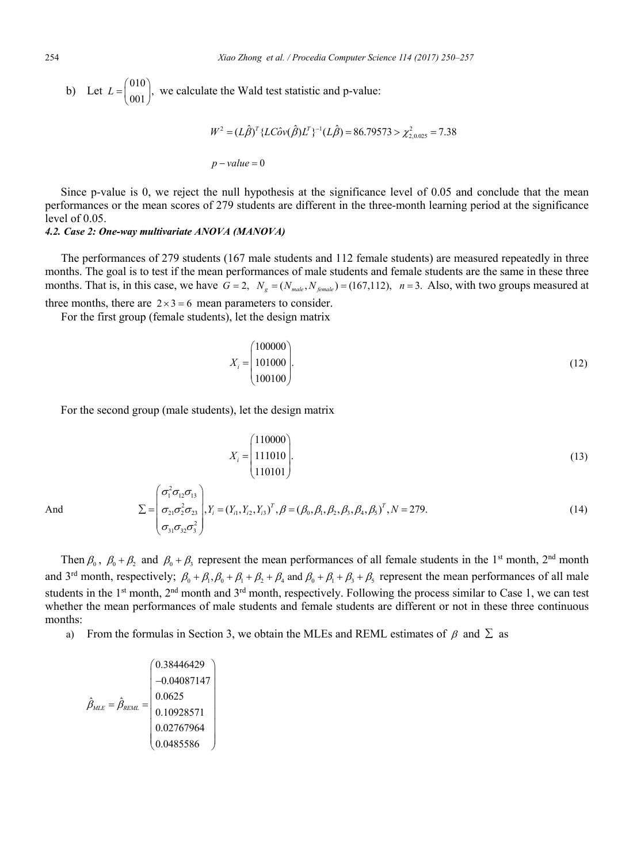b) Let 
$$
L = \begin{pmatrix} 010 \\ 001 \end{pmatrix}
$$
, we calculate the Wald test statistic and p-value:  
\n
$$
W^2 = (L\hat{\beta})^T \{ LC\hat{\sigma}v(\hat{\beta})L^T \}^{-1} (L\hat{\beta}) = 86.79573 > \chi^2_{2,0.025} = 7.38
$$
\n
$$
p-value = 0
$$

Since p-value is 0, we reject the null hypothesis at the significance level of 0.05 and conclude that the mean performances or the mean scores of 279 students are different in the three-month learning period at the significance level of 0.05.

#### *4.2. Case 2: One-way multivariate ANOVA (MANOVA)*

The performances of 279 students (167 male students and 112 female students) are measured repeatedly in three months. The goal is to test if the mean performances of male students and female students are the same in these three months. That is, in this case, we have  $G = 2$ ,  $N_g = (N_{male}, N_{female}) = (167,112)$ ,  $n = 3$ . Also, with two groups measured at

three months, there are  $2 \times 3 = 6$  mean parameters to consider.

For the first group (female students), let the design matrix

$$
X_i = \begin{pmatrix} 100000 \\ 101000 \\ 100100 \end{pmatrix} . \tag{12}
$$

For the second group (male students), let the design matrix

$$
X_i = \begin{pmatrix} 110000 \\ 111010 \\ 110101 \end{pmatrix} . \tag{13}
$$

And

$$
\Sigma = \begin{pmatrix} \sigma_1^2 \sigma_{12} \sigma_{13} \\ \sigma_{21} \sigma_2^2 \sigma_{23} \\ \sigma_{31} \sigma_{32} \sigma_3^2 \end{pmatrix}, Y_i = (Y_{i1}, Y_{i2}, Y_{i3})^T, \beta = (\beta_0, \beta_1, \beta_2, \beta_3, \beta_4, \beta_5)^T, N = 279.
$$
\n(14)

Then  $\beta_0$ ,  $\beta_0 + \beta_2$  and  $\beta_0 + \beta_3$  represent the mean performances of all female students in the 1<sup>st</sup> month, 2<sup>nd</sup> month and 3<sup>rd</sup> month, respectively;  $\beta_0 + \beta_1, \beta_0 + \beta_1 + \beta_2 + \beta_4$  and  $\beta_0 + \beta_1 + \beta_2 + \beta_5$  represent the mean performances of all male students in the 1<sup>st</sup> month, 2<sup>nd</sup> month and 3<sup>rd</sup> month, respectively. Following the process similar to Case 1, we can test whether the mean performances of male students and female students are different or not in these three continuous months:

a) From the formulas in Section 3, we obtain the MLEs and REML estimates of  $\beta$  and  $\Sigma$  as

$$
\hat{\beta}_{MLE} = \hat{\beta}_{REML} = \begin{pmatrix} 0.38446429 \\ -0.04087147 \\ 0.0625 \\ 0.10928571 \\ 0.02767964 \\ 0.0485586 \end{pmatrix}
$$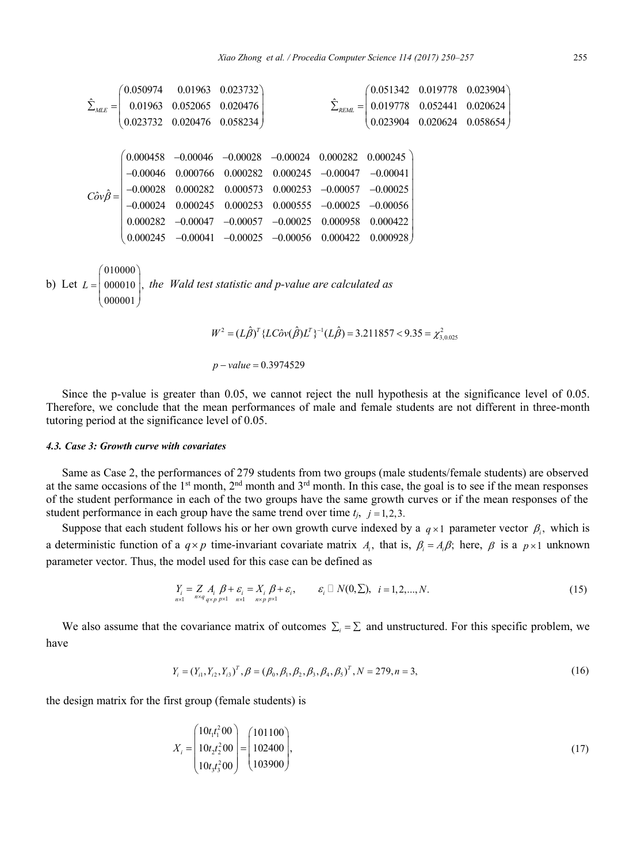$$
\hat{\Sigma}_{MLE} = \begin{pmatrix}\n0.050974 & 0.01963 & 0.023732 \\
0.01963 & 0.052065 & 0.020476 \\
0.023732 & 0.020476 & 0.058234\n\end{pmatrix}\n\qquad\n\hat{\Sigma}_{REML} = \begin{pmatrix}\n0.051342 & 0.019778 & 0.023904 \\
0.019778 & 0.052441 & 0.020624 \\
0.023904 & 0.020624 & 0.088654\n\end{pmatrix}
$$
\n
$$
C\hat{o}v\hat{\beta} = \begin{pmatrix}\n0.000458 & -0.00046 & -0.00028 & -0.00024 & 0.000282 & 0.000245 \\
-0.00046 & 0.000766 & 0.000282 & 0.000245 & -0.00047 & -0.00041 \\
-0.00028 & 0.000282 & 0.000573 & 0.000253 & -0.00057 & -0.00025 \\
-0.00024 & 0.000245 & 0.000253 & 0.000555 & -0.00025 & -0.00056 \\
0.000245 & -0.00041 & -0.00025 & -0.00056 & 0.000422 & 0.000928\n\end{pmatrix}
$$
\n
$$
b) Let L = \begin{pmatrix}\n010000 \\
000010 \\
000001\n\end{pmatrix}, the Wald test statistic and p-value are calculated as
$$

 $W^2 = (L\hat{\beta})^T \{ LC\hat{\sigma} v(\hat{\beta}) L^T \}^{-1} (L\hat{\beta}) = 3.211857 < 9.35 = \chi^2_{3,0.025}$ 

$$
p-value = 0.3974529
$$

Since the p-value is greater than 0.05, we cannot reject the null hypothesis at the significance level of 0.05. Therefore, we conclude that the mean performances of male and female students are not different in three-month tutoring period at the significance level of 0.05.

#### *4.3. Case 3: Growth curve with covariates*

Same as Case 2, the performances of 279 students from two groups (male students/female students) are observed at the same occasions of the 1<sup>st</sup> month, 2<sup>nd</sup> month and 3<sup>rd</sup> month. In this case, the goal is to see if the mean responses of the student performance in each of the two groups have the same growth curves or if the mean responses of the student performance in each group have the same trend over time  $t_j$ ,  $j = 1,2,3$ .

Suppose that each student follows his or her own growth curve indexed by a  $q \times 1$  parameter vector  $\beta_i$ , which is a deterministic function of a  $q \times p$  time-invariant covariate matrix  $A_i$ , that is,  $\beta_i = A_i \beta$ ; here,  $\beta$  is a  $p \times 1$  unknown parameter vector. Thus, the model used for this case can be defined as

$$
Y_i = Z A_i \beta + \varepsilon_i = X_i \beta + \varepsilon_i, \qquad \varepsilon_i \Box N(0, \Sigma), \quad i = 1, 2, \dots, N. \tag{15}
$$

We also assume that the covariance matrix of outcomes  $\Sigma_i = \Sigma$  and unstructured. For this specific problem, we have

$$
Y_i = (Y_{i1}, Y_{i2}, Y_{i3})^T, \beta = (\beta_0, \beta_1, \beta_2, \beta_3, \beta_4, \beta_5)^T, N = 279, n = 3,
$$
\n(16)

the design matrix for the first group (female students) is

$$
X_i = \begin{pmatrix} 10t_i t_1^2 00 \\ 10t_2 t_2^2 00 \\ 10t_3 t_3^2 00 \end{pmatrix} = \begin{pmatrix} 101100 \\ 102400 \\ 103900 \end{pmatrix},
$$
\n(17)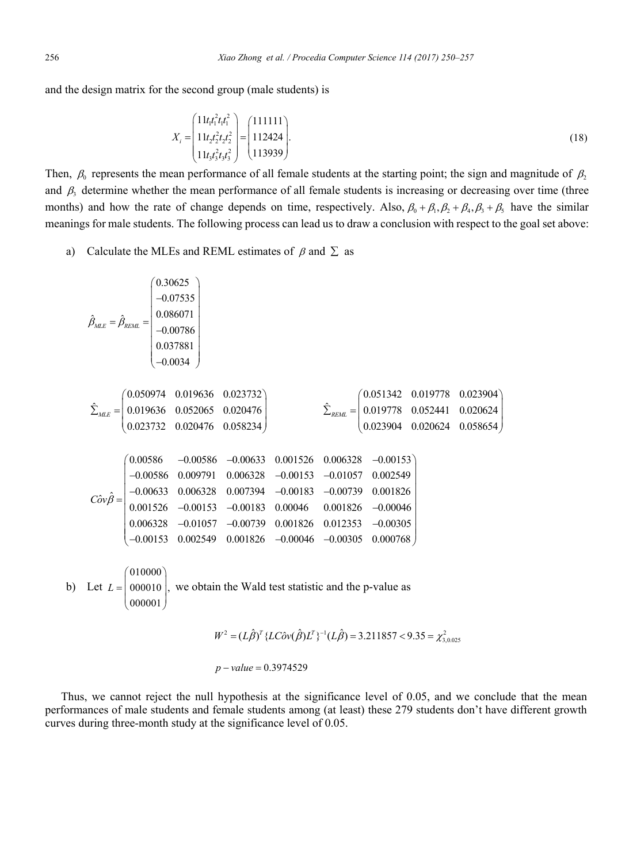and the design matrix for the second group (male students) is

$$
X_{i} = \begin{pmatrix} 11t_{1}t_{1}^{2}t_{1}t_{1}^{2} \\ 11t_{2}t_{2}^{2}t_{2}t_{2}^{2} \\ 11t_{3}t_{3}^{2}t_{3}t_{3}^{2} \end{pmatrix} = \begin{pmatrix} 1111111 \\ 112424 \\ 113939 \end{pmatrix} .
$$
 (18)

Then,  $\beta_0$  represents the mean performance of all female students at the starting point; the sign and magnitude of  $\beta_2$ and  $\beta_3$  determine whether the mean performance of all female students is increasing or decreasing over time (three months) and how the rate of change depends on time, respectively. Also,  $\beta_0 + \beta_1, \beta_2 + \beta_3, \beta_4 + \beta_5$  have the similar meanings for male students. The following process can lead us to draw a conclusion with respect to the goal set above:

a) Calculate the MLEs and REML estimates of  $\beta$  and  $\Sigma$  as

$$
\hat{\beta}_{MLE} = \hat{\beta}_{REML} = \begin{pmatrix}\n0.30625 \\
-0.07535 \\
0.086071 \\
-0.00786 \\
0.037881 \\
-0.0034\n\end{pmatrix}
$$
\n
$$
\hat{\Sigma}_{MLE} = \begin{pmatrix}\n0.050974 & 0.019636 & 0.023732 \\
0.019636 & 0.052065 & 0.020476 \\
0.023732 & 0.020476 & 0.058234\n\end{pmatrix}
$$
\n
$$
\hat{\Sigma}_{REML} = \begin{pmatrix}\n0.051342 & 0.019778 & 0.023904 \\
0.019778 & 0.052441 & 0.020624 \\
0.023904 & 0.020624 & 0.058654\n\end{pmatrix}
$$
\n
$$
C\hat{\sigma}\hat{\nu}\hat{\beta} = \begin{pmatrix}\n0.00586 & -0.00633 & 0.001526 & 0.006328 & -0.00153 \\
-0.00633 & 0.006328 & -0.00153 & -0.01057 & 0.002549 \\
-0.00633 & 0.006328 & 0.007394 & -0.00183 & -0.00739 & 0.001826 \\
0.006328 & -0.01057 & -0.00739 & 0.001826 & -0.00046 \\
0.006328 & -0.01057 & -0.00739 & 0.001826 & 0.012353 & -0.00305 \\
-0.00153 & 0.002549 & 0.001826 & -0.00046 & -0.00305 & 0.000768\n\end{pmatrix}
$$
\nLet  $L = \begin{pmatrix}\n010000 \\
000010 \\
0000001\n\end{pmatrix}$ , we obtain the Wald test statistic and the p-value as

$$
W^2 = (L\hat{\beta})^T \{ LC\hat{\sigma}v(\hat{\beta})L^T \}^{-1} (L\hat{\beta}) = 3.211857 < 9.35 = \chi^2_{3,0.025}
$$

$$
p
$$
 – value = 0.3974529

Thus, we cannot reject the null hypothesis at the significance level of 0.05, and we conclude that the mean performances of male students and female students among (at least) these 279 students don't have different growth curves during three-month study at the significance level of 0.05.

 $b)$